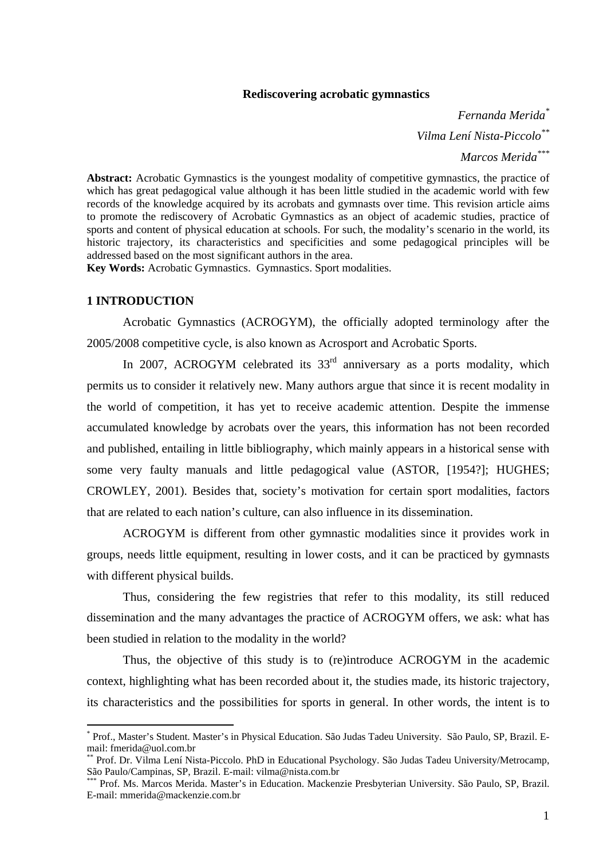# **Rediscovering acrobatic gymnastics**

*Fernanda Merida\* Vilma Lení Nista-Piccolo\*\* Marcos Merida\*\*\**

**Abstract:** Acrobatic Gymnastics is the youngest modality of competitive gymnastics, the practice of which has great pedagogical value although it has been little studied in the academic world with few records of the knowledge acquired by its acrobats and gymnasts over time. This revision article aims to promote the rediscovery of Acrobatic Gymnastics as an object of academic studies, practice of sports and content of physical education at schools. For such, the modality's scenario in the world, its historic trajectory, its characteristics and specificities and some pedagogical principles will be addressed based on the most significant authors in the area.

**Key Words:** Acrobatic Gymnastics. Gymnastics. Sport modalities.

## **1 INTRODUCTION**

 $\overline{a}$ 

Acrobatic Gymnastics (ACROGYM), the officially adopted terminology after the 2005/2008 competitive cycle, is also known as Acrosport and Acrobatic Sports.

In 2007, ACROGYM celebrated its  $33<sup>rd</sup>$  anniversary as a ports modality, which permits us to consider it relatively new. Many authors argue that since it is recent modality in the world of competition, it has yet to receive academic attention. Despite the immense accumulated knowledge by acrobats over the years, this information has not been recorded and published, entailing in little bibliography, which mainly appears in a historical sense with some very faulty manuals and little pedagogical value (ASTOR, [1954?]; HUGHES; CROWLEY, 2001). Besides that, society's motivation for certain sport modalities, factors that are related to each nation's culture, can also influence in its dissemination.

ACROGYM is different from other gymnastic modalities since it provides work in groups, needs little equipment, resulting in lower costs, and it can be practiced by gymnasts with different physical builds.

Thus, considering the few registries that refer to this modality, its still reduced dissemination and the many advantages the practice of ACROGYM offers, we ask: what has been studied in relation to the modality in the world?

Thus, the objective of this study is to (re)introduce ACROGYM in the academic context, highlighting what has been recorded about it, the studies made, its historic trajectory, its characteristics and the possibilities for sports in general. In other words, the intent is to

<sup>\*</sup> Prof., Master's Student. Master's in Physical Education. São Judas Tadeu University. São Paulo, SP, Brazil. Email: fmerida@uol.com.br

<sup>\*\*</sup> Prof. Dr. Vilma Lení Nista-Piccolo. PhD in Educational Psychology. São Judas Tadeu University/Metrocamp, São Paulo/Campinas, SP, Brazil. E-mail: vilma@nista.com.br

Prof. Ms. Marcos Merida. Master's in Education. Mackenzie Presbyterian University. São Paulo, SP, Brazil. E-mail: mmerida@mackenzie.com.br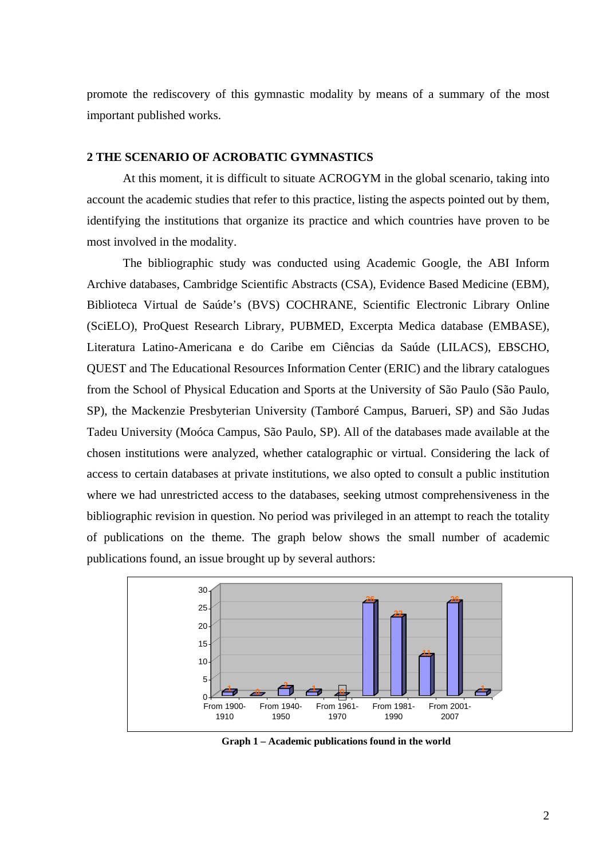promote the rediscovery of this gymnastic modality by means of a summary of the most important published works.

# **2 THE SCENARIO OF ACROBATIC GYMNASTICS**

At this moment, it is difficult to situate ACROGYM in the global scenario, taking into account the academic studies that refer to this practice, listing the aspects pointed out by them, identifying the institutions that organize its practice and which countries have proven to be most involved in the modality.

The bibliographic study was conducted using Academic Google, the ABI Inform Archive databases, Cambridge Scientific Abstracts (CSA), Evidence Based Medicine (EBM), Biblioteca Virtual de Saúde's (BVS) COCHRANE, Scientific Electronic Library Online (SciELO), ProQuest Research Library, PUBMED, Excerpta Medica database (EMBASE), Literatura Latino-Americana e do Caribe em Ciências da Saúde (LILACS), EBSCHO, QUEST and The Educational Resources Information Center (ERIC) and the library catalogues from the School of Physical Education and Sports at the University of São Paulo (São Paulo, SP), the Mackenzie Presbyterian University (Tamboré Campus, Barueri, SP) and São Judas Tadeu University (Moóca Campus, São Paulo, SP). All of the databases made available at the chosen institutions were analyzed, whether catalographic or virtual. Considering the lack of access to certain databases at private institutions, we also opted to consult a public institution where we had unrestricted access to the databases, seeking utmost comprehensiveness in the bibliographic revision in question. No period was privileged in an attempt to reach the totality of publications on the theme. The graph below shows the small number of academic publications found, an issue brought up by several authors:



**Graph 1 – Academic publications found in the world**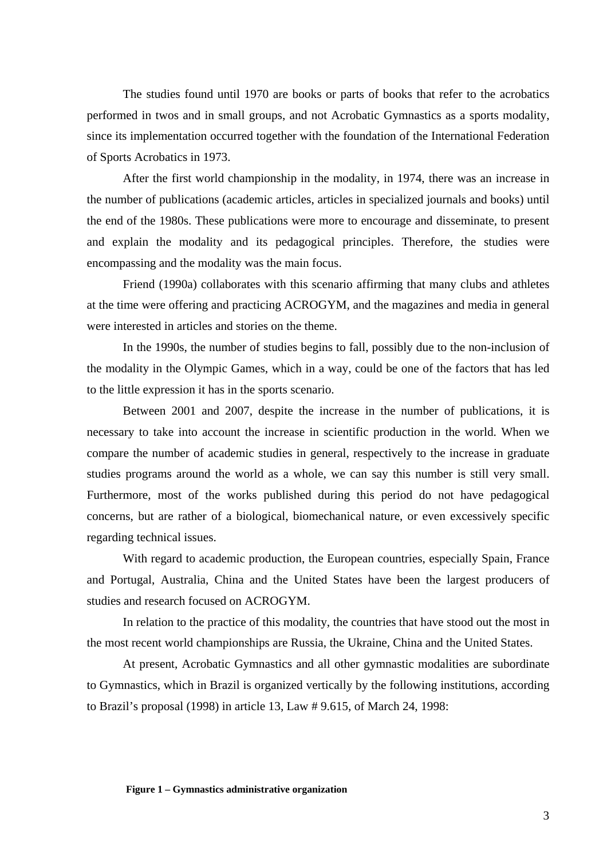The studies found until 1970 are books or parts of books that refer to the acrobatics performed in twos and in small groups, and not Acrobatic Gymnastics as a sports modality, since its implementation occurred together with the foundation of the International Federation of Sports Acrobatics in 1973.

After the first world championship in the modality, in 1974, there was an increase in the number of publications (academic articles, articles in specialized journals and books) until the end of the 1980s. These publications were more to encourage and disseminate, to present and explain the modality and its pedagogical principles. Therefore, the studies were encompassing and the modality was the main focus.

Friend (1990a) collaborates with this scenario affirming that many clubs and athletes at the time were offering and practicing ACROGYM, and the magazines and media in general were interested in articles and stories on the theme.

In the 1990s, the number of studies begins to fall, possibly due to the non-inclusion of the modality in the Olympic Games, which in a way, could be one of the factors that has led to the little expression it has in the sports scenario.

Between 2001 and 2007, despite the increase in the number of publications, it is necessary to take into account the increase in scientific production in the world. When we compare the number of academic studies in general, respectively to the increase in graduate studies programs around the world as a whole, we can say this number is still very small. Furthermore, most of the works published during this period do not have pedagogical concerns, but are rather of a biological, biomechanical nature, or even excessively specific regarding technical issues.

With regard to academic production, the European countries, especially Spain, France and Portugal, Australia, China and the United States have been the largest producers of studies and research focused on ACROGYM.

In relation to the practice of this modality, the countries that have stood out the most in the most recent world championships are Russia, the Ukraine, China and the United States.

At present, Acrobatic Gymnastics and all other gymnastic modalities are subordinate to Gymnastics, which in Brazil is organized vertically by the following institutions, according to Brazil's proposal (1998) in article 13, Law # 9.615, of March 24, 1998: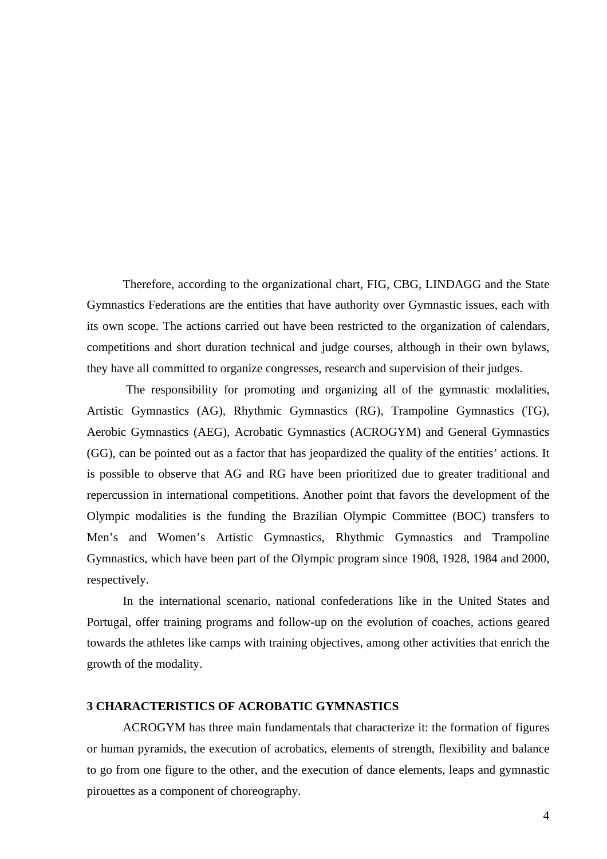Therefore, according to the organizational chart, FIG, CBG, LINDAGG and the State Gymnastics Federations are the entities that have authority over Gymnastic issues, each with its own scope. The actions carried out have been restricted to the organization of calendars, competitions and short duration technical and judge courses, although in their own bylaws, they have all committed to organize congresses, research and supervision of their judges.

The responsibility for promoting and organizing all of the gymnastic modalities, Artistic Gymnastics (AG), Rhythmic Gymnastics (RG), Trampoline Gymnastics (TG), Aerobic Gymnastics (AEG), Acrobatic Gymnastics (ACROGYM) and General Gymnastics (GG), can be pointed out as a factor that has jeopardized the quality of the entities' actions. It is possible to observe that AG and RG have been prioritized due to greater traditional and repercussion in international competitions. Another point that favors the development of the Olympic modalities is the funding the Brazilian Olympic Committee (BOC) transfers to Men's and Women's Artistic Gymnastics, Rhythmic Gymnastics and Trampoline Gymnastics, which have been part of the Olympic program since 1908, 1928, 1984 and 2000, respectively.

In the international scenario, national confederations like in the United States and Portugal, offer training programs and follow-up on the evolution of coaches, actions geared towards the athletes like camps with training objectives, among other activities that enrich the growth of the modality.

# **3 CHARACTERISTICS OF ACROBATIC GYMNASTICS**

ACROGYM has three main fundamentals that characterize it: the formation of figures or human pyramids, the execution of acrobatics, elements of strength, flexibility and balance to go from one figure to the other, and the execution of dance elements, leaps and gymnastic pirouettes as a component of choreography.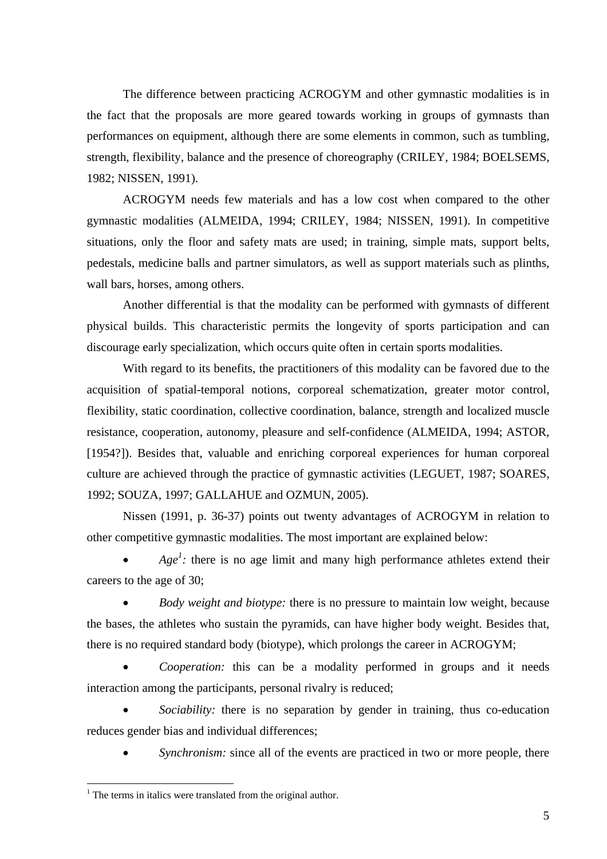The difference between practicing ACROGYM and other gymnastic modalities is in the fact that the proposals are more geared towards working in groups of gymnasts than performances on equipment, although there are some elements in common, such as tumbling, strength, flexibility, balance and the presence of choreography (CRILEY, 1984; BOELSEMS, 1982; NISSEN, 1991).

ACROGYM needs few materials and has a low cost when compared to the other gymnastic modalities (ALMEIDA, 1994; CRILEY, 1984; NISSEN, 1991). In competitive situations, only the floor and safety mats are used; in training, simple mats, support belts, pedestals, medicine balls and partner simulators, as well as support materials such as plinths, wall bars, horses, among others.

Another differential is that the modality can be performed with gymnasts of different physical builds. This characteristic permits the longevity of sports participation and can discourage early specialization, which occurs quite often in certain sports modalities.

With regard to its benefits, the practitioners of this modality can be favored due to the acquisition of spatial-temporal notions, corporeal schematization, greater motor control, flexibility, static coordination, collective coordination, balance, strength and localized muscle resistance, cooperation, autonomy, pleasure and self-confidence (ALMEIDA, 1994; ASTOR, [1954?]). Besides that, valuable and enriching corporeal experiences for human corporeal culture are achieved through the practice of gymnastic activities (LEGUET, 1987; SOARES, 1992; SOUZA, 1997; GALLAHUE and OZMUN, 2005).

Nissen (1991, p. 36-37) points out twenty advantages of ACROGYM in relation to other competitive gymnastic modalities. The most important are explained below:

• *Age<sup>1</sup>*: there is no age limit and many high performance athletes extend their careers to the age of 30;

• *Body weight and biotype:* there is no pressure to maintain low weight, because the bases, the athletes who sustain the pyramids, can have higher body weight. Besides that, there is no required standard body (biotype), which prolongs the career in ACROGYM;

• *Cooperation:* this can be a modality performed in groups and it needs interaction among the participants, personal rivalry is reduced;

• *Sociability:* there is no separation by gender in training, thus co-education reduces gender bias and individual differences;

*Synchronism:* since all of the events are practiced in two or more people, there

 $\overline{a}$ 

<sup>&</sup>lt;sup>1</sup> The terms in italics were translated from the original author.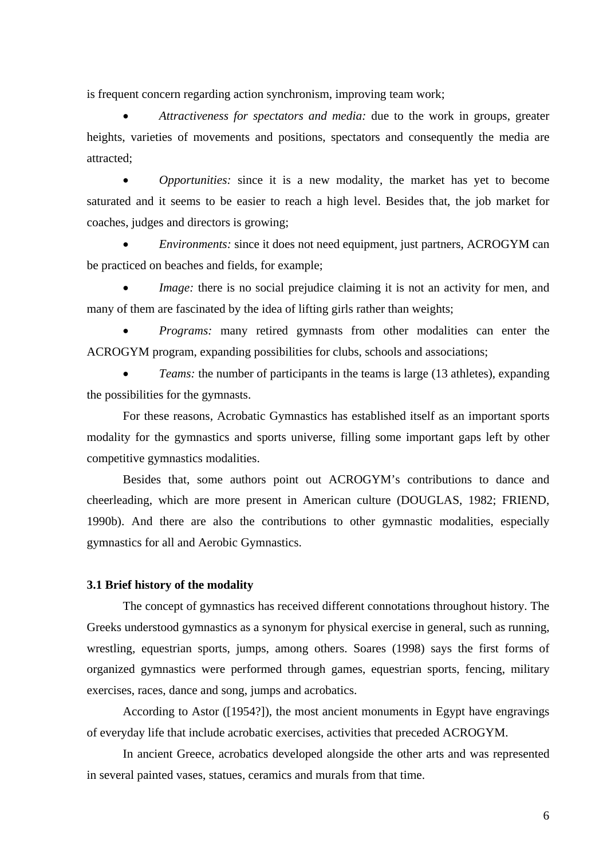is frequent concern regarding action synchronism, improving team work;

• *Attractiveness for spectators and media:* due to the work in groups, greater heights, varieties of movements and positions, spectators and consequently the media are attracted;

• *Opportunities:* since it is a new modality, the market has yet to become saturated and it seems to be easier to reach a high level. Besides that, the job market for coaches, judges and directors is growing;

• *Environments:* since it does not need equipment, just partners, ACROGYM can be practiced on beaches and fields, for example;

*Image:* there is no social prejudice claiming it is not an activity for men, and many of them are fascinated by the idea of lifting girls rather than weights;

• *Programs:* many retired gymnasts from other modalities can enter the ACROGYM program, expanding possibilities for clubs, schools and associations;

*Teams:* the number of participants in the teams is large (13 athletes), expanding the possibilities for the gymnasts.

For these reasons, Acrobatic Gymnastics has established itself as an important sports modality for the gymnastics and sports universe, filling some important gaps left by other competitive gymnastics modalities.

Besides that, some authors point out ACROGYM's contributions to dance and cheerleading, which are more present in American culture (DOUGLAS, 1982; FRIEND, 1990b). And there are also the contributions to other gymnastic modalities, especially gymnastics for all and Aerobic Gymnastics.

# **3.1 Brief history of the modality**

The concept of gymnastics has received different connotations throughout history. The Greeks understood gymnastics as a synonym for physical exercise in general, such as running, wrestling, equestrian sports, jumps, among others. Soares (1998) says the first forms of organized gymnastics were performed through games, equestrian sports, fencing, military exercises, races, dance and song, jumps and acrobatics.

According to Astor ([1954?]), the most ancient monuments in Egypt have engravings of everyday life that include acrobatic exercises, activities that preceded ACROGYM.

In ancient Greece, acrobatics developed alongside the other arts and was represented in several painted vases, statues, ceramics and murals from that time.

6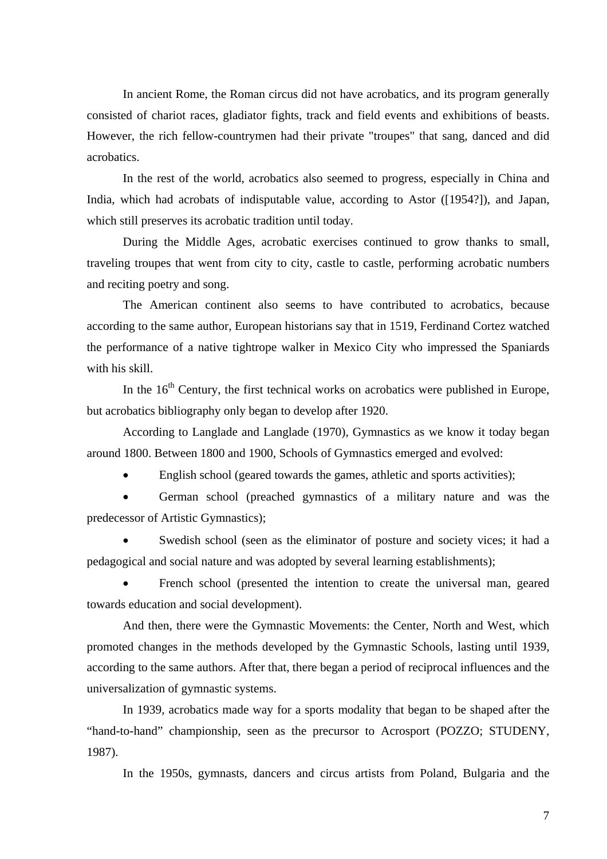In ancient Rome, the Roman circus did not have acrobatics, and its program generally consisted of chariot races, gladiator fights, track and field events and exhibitions of beasts. However, the rich fellow-countrymen had their private "troupes" that sang, danced and did acrobatics.

In the rest of the world, acrobatics also seemed to progress, especially in China and India, which had acrobats of indisputable value, according to Astor ([1954?]), and Japan, which still preserves its acrobatic tradition until today.

During the Middle Ages, acrobatic exercises continued to grow thanks to small, traveling troupes that went from city to city, castle to castle, performing acrobatic numbers and reciting poetry and song.

The American continent also seems to have contributed to acrobatics, because according to the same author, European historians say that in 1519, Ferdinand Cortez watched the performance of a native tightrope walker in Mexico City who impressed the Spaniards with his skill.

In the  $16<sup>th</sup>$  Century, the first technical works on acrobatics were published in Europe, but acrobatics bibliography only began to develop after 1920.

According to Langlade and Langlade (1970), Gymnastics as we know it today began around 1800. Between 1800 and 1900, Schools of Gymnastics emerged and evolved:

• English school (geared towards the games, athletic and sports activities);

• German school (preached gymnastics of a military nature and was the predecessor of Artistic Gymnastics);

Swedish school (seen as the eliminator of posture and society vices; it had a pedagogical and social nature and was adopted by several learning establishments);

French school (presented the intention to create the universal man, geared towards education and social development).

And then, there were the Gymnastic Movements: the Center, North and West, which promoted changes in the methods developed by the Gymnastic Schools, lasting until 1939, according to the same authors. After that, there began a period of reciprocal influences and the universalization of gymnastic systems.

In 1939, acrobatics made way for a sports modality that began to be shaped after the "hand-to-hand" championship, seen as the precursor to Acrosport (POZZO; STUDENY, 1987).

In the 1950s, gymnasts, dancers and circus artists from Poland, Bulgaria and the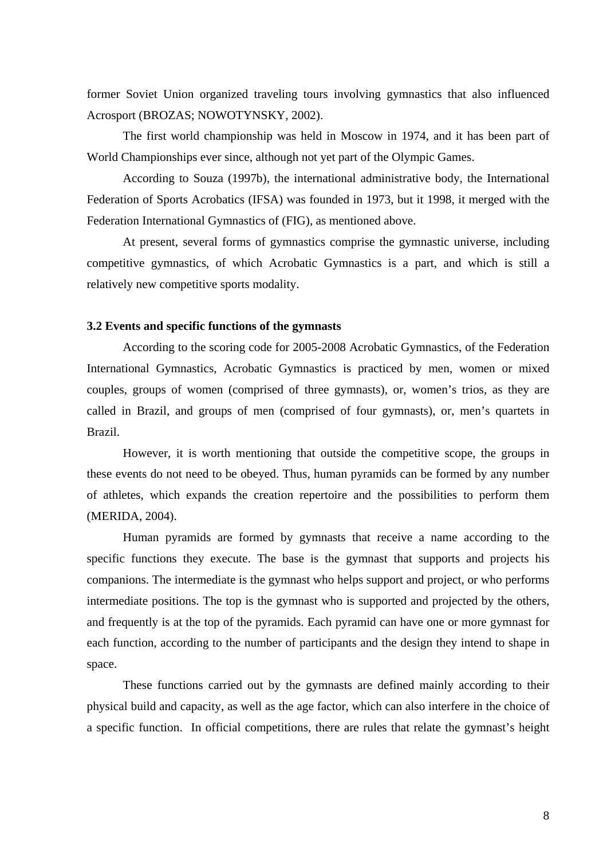former Soviet Union organized traveling tours involving gymnastics that also influenced Acrosport (BROZAS; NOWOTYNSKY, 2002).

The first world championship was held in Moscow in 1974, and it has been part of World Championships ever since, although not yet part of the Olympic Games.

According to Souza (1997b), the international administrative body, the International Federation of Sports Acrobatics (IFSA) was founded in 1973, but it 1998, it merged with the Federation International Gymnastics of (FIG), as mentioned above.

At present, several forms of gymnastics comprise the gymnastic universe, including competitive gymnastics, of which Acrobatic Gymnastics is a part, and which is still a relatively new competitive sports modality.

# **3.2 Events and specific functions of the gymnasts**

According to the scoring code for 2005-2008 Acrobatic Gymnastics, of the Federation International Gymnastics, Acrobatic Gymnastics is practiced by men, women or mixed couples, groups of women (comprised of three gymnasts), or, women's trios, as they are called in Brazil, and groups of men (comprised of four gymnasts), or, men's quartets in Brazil.

However, it is worth mentioning that outside the competitive scope, the groups in these events do not need to be obeyed. Thus, human pyramids can be formed by any number of athletes, which expands the creation repertoire and the possibilities to perform them (MERIDA, 2004).

Human pyramids are formed by gymnasts that receive a name according to the specific functions they execute. The base is the gymnast that supports and projects his companions. The intermediate is the gymnast who helps support and project, or who performs intermediate positions. The top is the gymnast who is supported and projected by the others, and frequently is at the top of the pyramids. Each pyramid can have one or more gymnast for each function, according to the number of participants and the design they intend to shape in space.

These functions carried out by the gymnasts are defined mainly according to their physical build and capacity, as well as the age factor, which can also interfere in the choice of a specific function. In official competitions, there are rules that relate the gymnast's height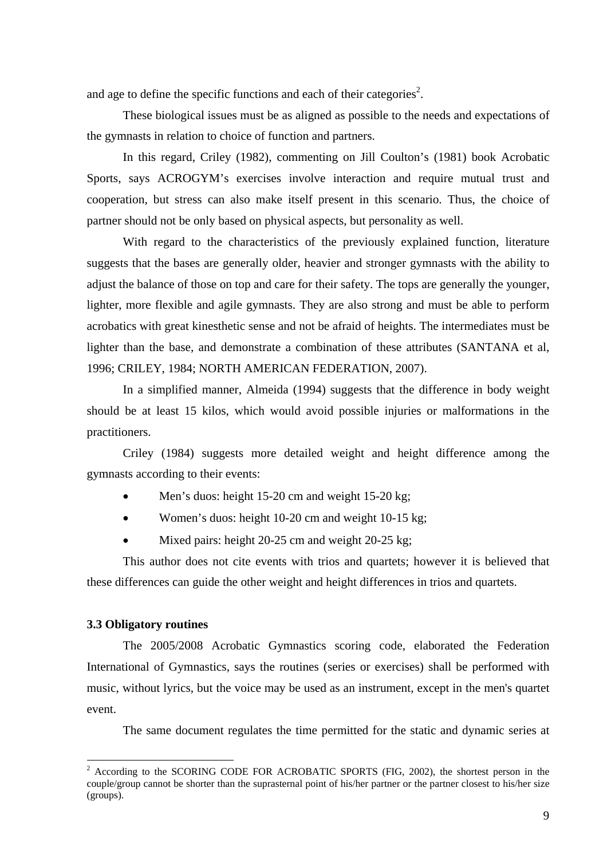and age to define the specific functions and each of their categories<sup>2</sup>.

These biological issues must be as aligned as possible to the needs and expectations of the gymnasts in relation to choice of function and partners.

In this regard, Criley (1982), commenting on Jill Coulton's (1981) book Acrobatic Sports, says ACROGYM's exercises involve interaction and require mutual trust and cooperation, but stress can also make itself present in this scenario. Thus, the choice of partner should not be only based on physical aspects, but personality as well.

With regard to the characteristics of the previously explained function, literature suggests that the bases are generally older, heavier and stronger gymnasts with the ability to adjust the balance of those on top and care for their safety. The tops are generally the younger, lighter, more flexible and agile gymnasts. They are also strong and must be able to perform acrobatics with great kinesthetic sense and not be afraid of heights. The intermediates must be lighter than the base, and demonstrate a combination of these attributes (SANTANA et al, 1996; CRILEY, 1984; NORTH AMERICAN FEDERATION, 2007).

In a simplified manner, Almeida (1994) suggests that the difference in body weight should be at least 15 kilos, which would avoid possible injuries or malformations in the practitioners.

Criley (1984) suggests more detailed weight and height difference among the gymnasts according to their events:

- Men's duos: height 15-20 cm and weight 15-20 kg;
- Women's duos: height 10-20 cm and weight 10-15 kg;
- Mixed pairs: height 20-25 cm and weight 20-25 kg;

This author does not cite events with trios and quartets; however it is believed that these differences can guide the other weight and height differences in trios and quartets.

# **3.3 Obligatory routines**

The 2005/2008 Acrobatic Gymnastics scoring code, elaborated the Federation International of Gymnastics, says the routines (series or exercises) shall be performed with music, without lyrics, but the voice may be used as an instrument, except in the men's quartet event.

The same document regulates the time permitted for the static and dynamic series at

 $\frac{1}{2}$  According to the SCORING CODE FOR ACROBATIC SPORTS (FIG, 2002), the shortest person in the couple/group cannot be shorter than the suprasternal point of his/her partner or the partner closest to his/her size (groups).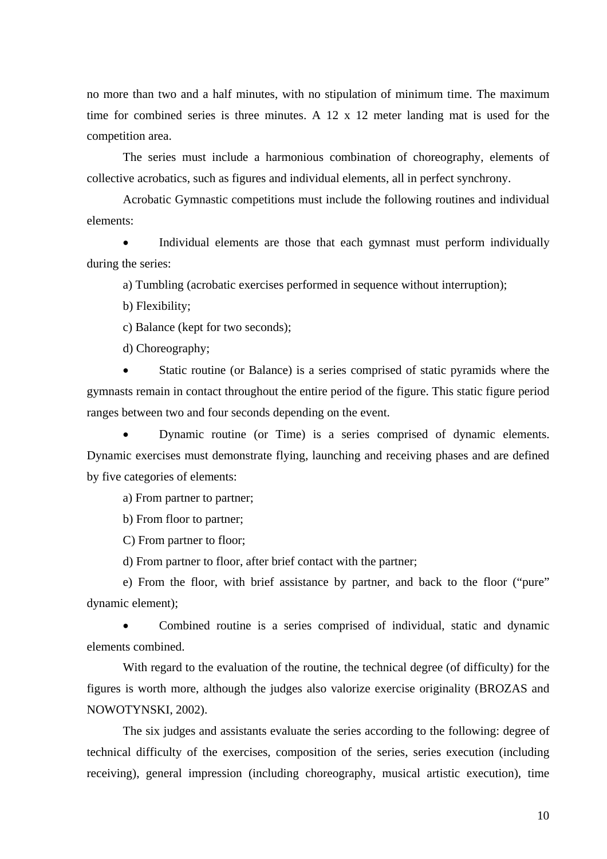no more than two and a half minutes, with no stipulation of minimum time. The maximum time for combined series is three minutes. A 12 x 12 meter landing mat is used for the competition area.

The series must include a harmonious combination of choreography, elements of collective acrobatics, such as figures and individual elements, all in perfect synchrony.

Acrobatic Gymnastic competitions must include the following routines and individual elements:

• Individual elements are those that each gymnast must perform individually during the series:

a) Tumbling (acrobatic exercises performed in sequence without interruption);

b) Flexibility;

c) Balance (kept for two seconds);

d) Choreography;

Static routine (or Balance) is a series comprised of static pyramids where the gymnasts remain in contact throughout the entire period of the figure. This static figure period ranges between two and four seconds depending on the event.

• Dynamic routine (or Time) is a series comprised of dynamic elements. Dynamic exercises must demonstrate flying, launching and receiving phases and are defined by five categories of elements:

a) From partner to partner;

b) From floor to partner;

C) From partner to floor;

d) From partner to floor, after brief contact with the partner;

e) From the floor, with brief assistance by partner, and back to the floor ("pure" dynamic element);

• Combined routine is a series comprised of individual, static and dynamic elements combined.

With regard to the evaluation of the routine, the technical degree (of difficulty) for the figures is worth more, although the judges also valorize exercise originality (BROZAS and NOWOTYNSKI, 2002).

The six judges and assistants evaluate the series according to the following: degree of technical difficulty of the exercises, composition of the series, series execution (including receiving), general impression (including choreography, musical artistic execution), time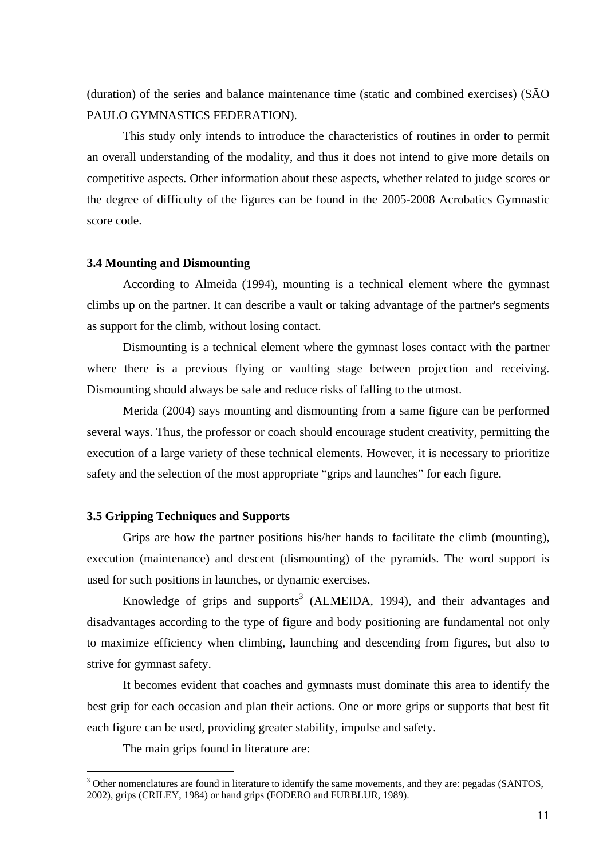(duration) of the series and balance maintenance time (static and combined exercises) (SÃO PAULO GYMNASTICS FEDERATION).

This study only intends to introduce the characteristics of routines in order to permit an overall understanding of the modality, and thus it does not intend to give more details on competitive aspects. Other information about these aspects, whether related to judge scores or the degree of difficulty of the figures can be found in the 2005-2008 Acrobatics Gymnastic score code.

#### **3.4 Mounting and Dismounting**

According to Almeida (1994), mounting is a technical element where the gymnast climbs up on the partner. It can describe a vault or taking advantage of the partner's segments as support for the climb, without losing contact.

Dismounting is a technical element where the gymnast loses contact with the partner where there is a previous flying or vaulting stage between projection and receiving. Dismounting should always be safe and reduce risks of falling to the utmost.

Merida (2004) says mounting and dismounting from a same figure can be performed several ways. Thus, the professor or coach should encourage student creativity, permitting the execution of a large variety of these technical elements. However, it is necessary to prioritize safety and the selection of the most appropriate "grips and launches" for each figure.

# **3.5 Gripping Techniques and Supports**

Grips are how the partner positions his/her hands to facilitate the climb (mounting), execution (maintenance) and descent (dismounting) of the pyramids. The word support is used for such positions in launches, or dynamic exercises.

Knowledge of grips and supports<sup>3</sup> (ALMEIDA, 1994), and their advantages and disadvantages according to the type of figure and body positioning are fundamental not only to maximize efficiency when climbing, launching and descending from figures, but also to strive for gymnast safety.

It becomes evident that coaches and gymnasts must dominate this area to identify the best grip for each occasion and plan their actions. One or more grips or supports that best fit each figure can be used, providing greater stability, impulse and safety.

The main grips found in literature are:

 $\overline{a}$ 

<sup>&</sup>lt;sup>3</sup> Other nomenclatures are found in literature to identify the same movements, and they are: pegadas (SANTOS, 2002), grips (CRILEY, 1984) or hand grips (FODERO and FURBLUR, 1989).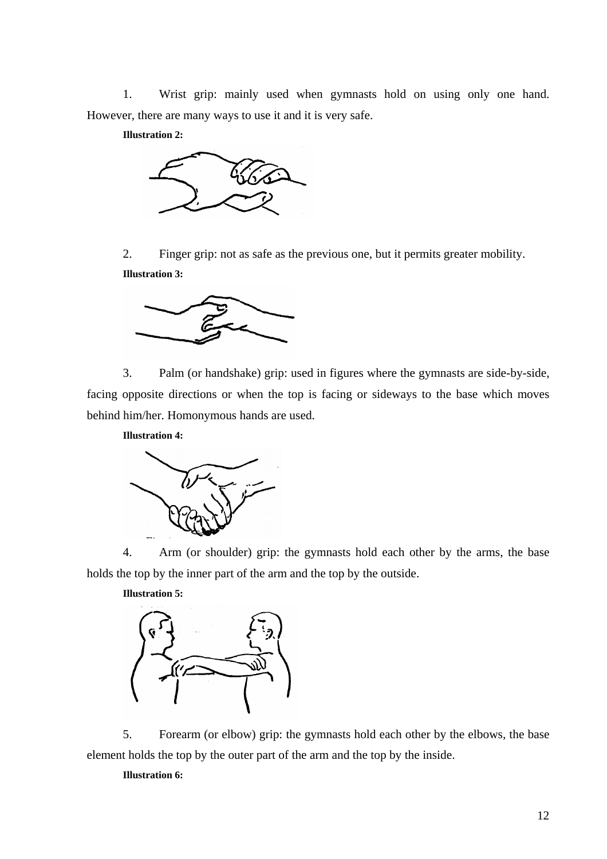1. Wrist grip: mainly used when gymnasts hold on using only one hand. However, there are many ways to use it and it is very safe.

**Illustration 2:** 



2. Finger grip: not as safe as the previous one, but it permits greater mobility. **Illustration 3:** 



3. Palm (or handshake) grip: used in figures where the gymnasts are side-by-side, facing opposite directions or when the top is facing or sideways to the base which moves behind him/her. Homonymous hands are used.

**Illustration 4:** 



4. Arm (or shoulder) grip: the gymnasts hold each other by the arms, the base holds the top by the inner part of the arm and the top by the outside.



5. Forearm (or elbow) grip: the gymnasts hold each other by the elbows, the base element holds the top by the outer part of the arm and the top by the inside.

### **Illustration 6:**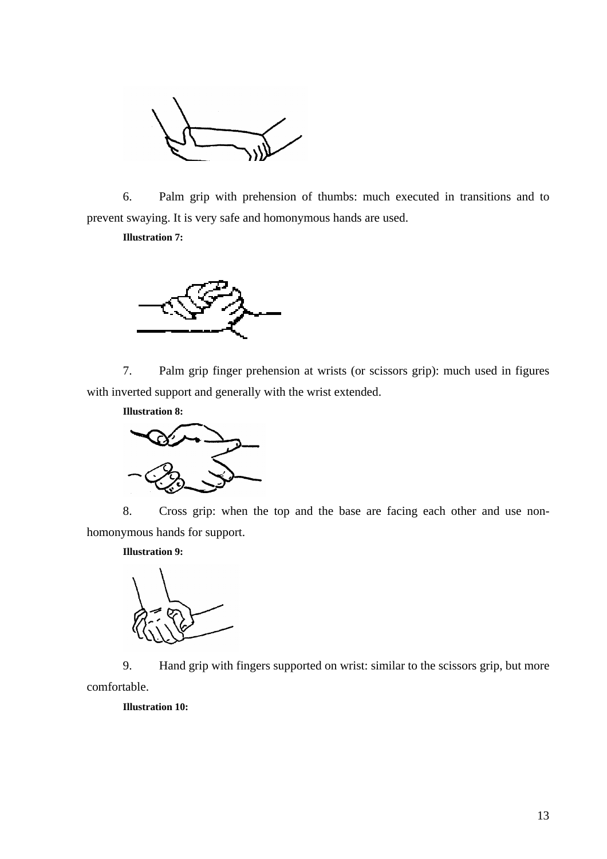

6. Palm grip with prehension of thumbs: much executed in transitions and to prevent swaying. It is very safe and homonymous hands are used.

**Illustration 7:** 



7. Palm grip finger prehension at wrists (or scissors grip): much used in figures with inverted support and generally with the wrist extended.



8. Cross grip: when the top and the base are facing each other and use nonhomonymous hands for support.

**Illustration 9:** 



9. Hand grip with fingers supported on wrist: similar to the scissors grip, but more comfortable.

**Illustration 10:**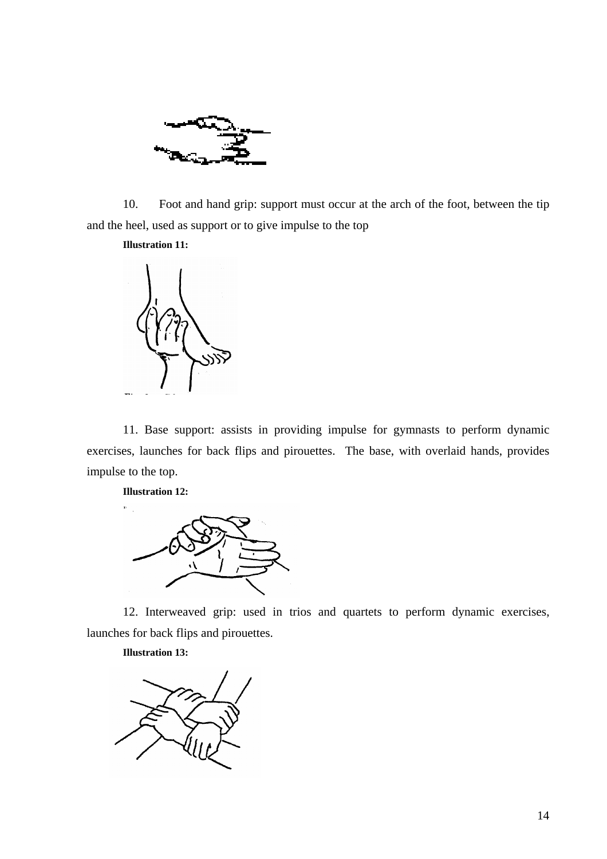

10. Foot and hand grip: support must occur at the arch of the foot, between the tip and the heel, used as support or to give impulse to the top

**Illustration 11:** 



11. Base support: assists in providing impulse for gymnasts to perform dynamic exercises, launches for back flips and pirouettes. The base, with overlaid hands, provides impulse to the top.

**Illustration 12:** 



12. Interweaved grip: used in trios and quartets to perform dynamic exercises, launches for back flips and pirouettes.

**Illustration 13:**

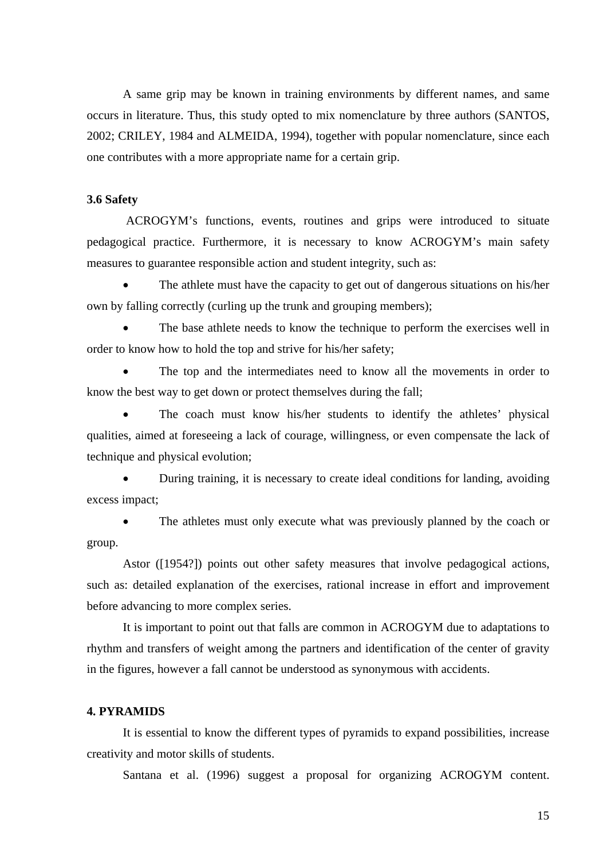A same grip may be known in training environments by different names, and same occurs in literature. Thus, this study opted to mix nomenclature by three authors (SANTOS, 2002; CRILEY, 1984 and ALMEIDA, 1994), together with popular nomenclature, since each one contributes with a more appropriate name for a certain grip.

# **3.6 Safety**

 ACROGYM's functions, events, routines and grips were introduced to situate pedagogical practice. Furthermore, it is necessary to know ACROGYM's main safety measures to guarantee responsible action and student integrity, such as:

• The athlete must have the capacity to get out of dangerous situations on his/her own by falling correctly (curling up the trunk and grouping members);

• The base athlete needs to know the technique to perform the exercises well in order to know how to hold the top and strive for his/her safety;

The top and the intermediates need to know all the movements in order to know the best way to get down or protect themselves during the fall;

The coach must know his/her students to identify the athletes' physical qualities, aimed at foreseeing a lack of courage, willingness, or even compensate the lack of technique and physical evolution;

• During training, it is necessary to create ideal conditions for landing, avoiding excess impact;

The athletes must only execute what was previously planned by the coach or group.

Astor ([1954?]) points out other safety measures that involve pedagogical actions, such as: detailed explanation of the exercises, rational increase in effort and improvement before advancing to more complex series.

It is important to point out that falls are common in ACROGYM due to adaptations to rhythm and transfers of weight among the partners and identification of the center of gravity in the figures, however a fall cannot be understood as synonymous with accidents.

# **4. PYRAMIDS**

It is essential to know the different types of pyramids to expand possibilities, increase creativity and motor skills of students.

Santana et al. (1996) suggest a proposal for organizing ACROGYM content.

15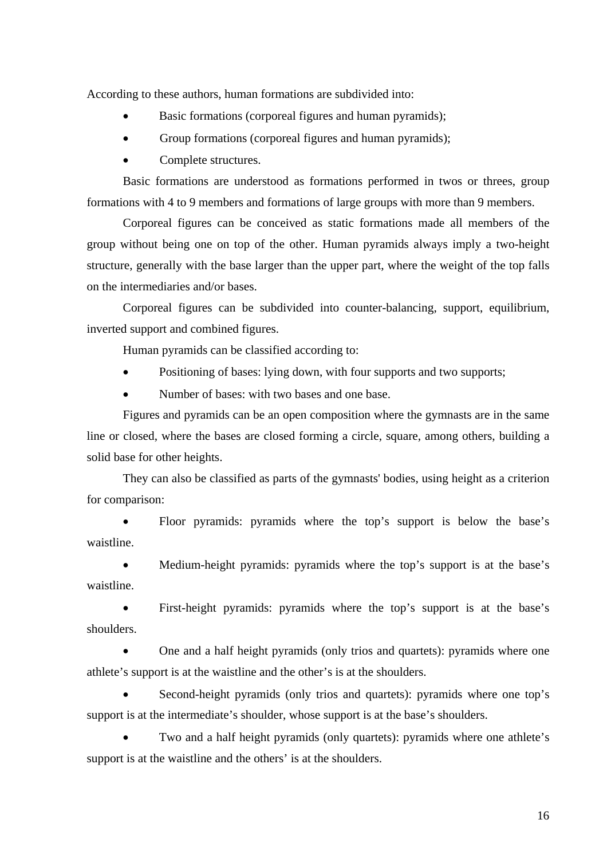According to these authors, human formations are subdivided into:

- Basic formations (corporeal figures and human pyramids);
- Group formations (corporeal figures and human pyramids);
- Complete structures.

Basic formations are understood as formations performed in twos or threes, group formations with 4 to 9 members and formations of large groups with more than 9 members.

Corporeal figures can be conceived as static formations made all members of the group without being one on top of the other. Human pyramids always imply a two-height structure, generally with the base larger than the upper part, where the weight of the top falls on the intermediaries and/or bases.

Corporeal figures can be subdivided into counter-balancing, support, equilibrium, inverted support and combined figures.

Human pyramids can be classified according to:

- Positioning of bases: lying down, with four supports and two supports;
- Number of bases: with two bases and one base.

Figures and pyramids can be an open composition where the gymnasts are in the same line or closed, where the bases are closed forming a circle, square, among others, building a solid base for other heights.

They can also be classified as parts of the gymnasts' bodies, using height as a criterion for comparison:

• Floor pyramids: pyramids where the top's support is below the base's waistline.

• Medium-height pyramids: pyramids where the top's support is at the base's waistline.

• First-height pyramids: pyramids where the top's support is at the base's shoulders.

• One and a half height pyramids (only trios and quartets): pyramids where one athlete's support is at the waistline and the other's is at the shoulders.

Second-height pyramids (only trios and quartets): pyramids where one top's support is at the intermediate's shoulder, whose support is at the base's shoulders.

Two and a half height pyramids (only quartets): pyramids where one athlete's support is at the waistline and the others' is at the shoulders.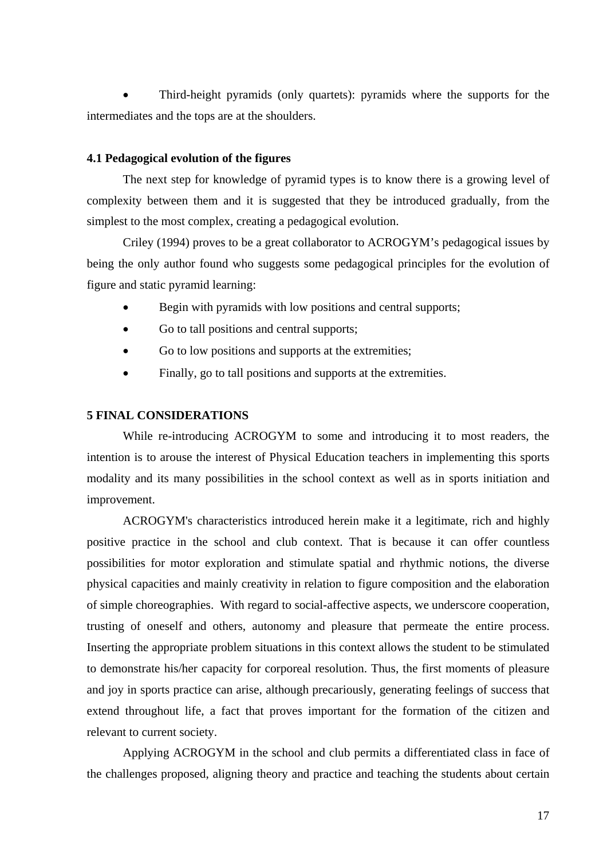• Third-height pyramids (only quartets): pyramids where the supports for the intermediates and the tops are at the shoulders.

# **4.1 Pedagogical evolution of the figures**

The next step for knowledge of pyramid types is to know there is a growing level of complexity between them and it is suggested that they be introduced gradually, from the simplest to the most complex, creating a pedagogical evolution.

Criley (1994) proves to be a great collaborator to ACROGYM's pedagogical issues by being the only author found who suggests some pedagogical principles for the evolution of figure and static pyramid learning:

- Begin with pyramids with low positions and central supports;
- Go to tall positions and central supports;
- Go to low positions and supports at the extremities;
- Finally, go to tall positions and supports at the extremities.

# **5 FINAL CONSIDERATIONS**

While re-introducing ACROGYM to some and introducing it to most readers, the intention is to arouse the interest of Physical Education teachers in implementing this sports modality and its many possibilities in the school context as well as in sports initiation and improvement.

ACROGYM's characteristics introduced herein make it a legitimate, rich and highly positive practice in the school and club context. That is because it can offer countless possibilities for motor exploration and stimulate spatial and rhythmic notions, the diverse physical capacities and mainly creativity in relation to figure composition and the elaboration of simple choreographies. With regard to social-affective aspects, we underscore cooperation, trusting of oneself and others, autonomy and pleasure that permeate the entire process. Inserting the appropriate problem situations in this context allows the student to be stimulated to demonstrate his/her capacity for corporeal resolution. Thus, the first moments of pleasure and joy in sports practice can arise, although precariously, generating feelings of success that extend throughout life, a fact that proves important for the formation of the citizen and relevant to current society.

Applying ACROGYM in the school and club permits a differentiated class in face of the challenges proposed, aligning theory and practice and teaching the students about certain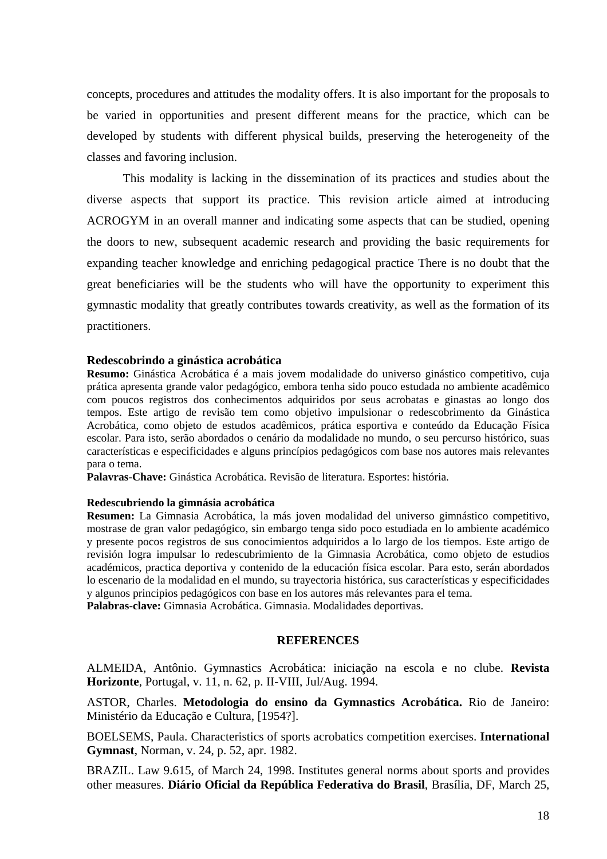concepts, procedures and attitudes the modality offers. It is also important for the proposals to be varied in opportunities and present different means for the practice, which can be developed by students with different physical builds, preserving the heterogeneity of the classes and favoring inclusion.

This modality is lacking in the dissemination of its practices and studies about the diverse aspects that support its practice. This revision article aimed at introducing ACROGYM in an overall manner and indicating some aspects that can be studied, opening the doors to new, subsequent academic research and providing the basic requirements for expanding teacher knowledge and enriching pedagogical practice There is no doubt that the great beneficiaries will be the students who will have the opportunity to experiment this gymnastic modality that greatly contributes towards creativity, as well as the formation of its practitioners.

# **Redescobrindo a ginástica acrobática**

**Resumo:** Ginástica Acrobática é a mais jovem modalidade do universo ginástico competitivo, cuja prática apresenta grande valor pedagógico, embora tenha sido pouco estudada no ambiente acadêmico com poucos registros dos conhecimentos adquiridos por seus acrobatas e ginastas ao longo dos tempos. Este artigo de revisão tem como objetivo impulsionar o redescobrimento da Ginástica Acrobática, como objeto de estudos acadêmicos, prática esportiva e conteúdo da Educação Física escolar. Para isto, serão abordados o cenário da modalidade no mundo, o seu percurso histórico, suas características e especificidades e alguns princípios pedagógicos com base nos autores mais relevantes para o tema.

**Palavras-Chave:** Ginástica Acrobática. Revisão de literatura. Esportes: história.

### **Redescubriendo la gimnásia acrobática**

**Resumen:** La Gimnasia Acrobática, la más joven modalidad del universo gimnástico competitivo, mostrase de gran valor pedagógico, sin embargo tenga sido poco estudiada en lo ambiente académico y presente pocos registros de sus conocimientos adquiridos a lo largo de los tiempos. Este artigo de revisión logra impulsar lo redescubrimiento de la Gimnasia Acrobática, como objeto de estudios académicos, practica deportiva y contenido de la educación física escolar. Para esto, serán abordados lo escenario de la modalidad en el mundo, su trayectoria histórica, sus características y especificidades y algunos principios pedagógicos con base en los autores más relevantes para el tema. **Palabras-clave:** Gimnasia Acrobática. Gimnasia. Modalidades deportivas.

# **REFERENCES**

ALMEIDA, Antônio. Gymnastics Acrobática: iniciação na escola e no clube. **Revista Horizonte**, Portugal, v. 11, n. 62, p. II-VIII, Jul/Aug. 1994.

ASTOR, Charles. **Metodologia do ensino da Gymnastics Acrobática.** Rio de Janeiro: Ministério da Educação e Cultura, [1954?].

BOELSEMS, Paula. Characteristics of sports acrobatics competition exercises. **International Gymnast**, Norman, v. 24, p. 52, apr. 1982.

BRAZIL. Law 9.615, of March 24, 1998. Institutes general norms about sports and provides other measures. **Diário Oficial da República Federativa do Brasil**, Brasília, DF, March 25,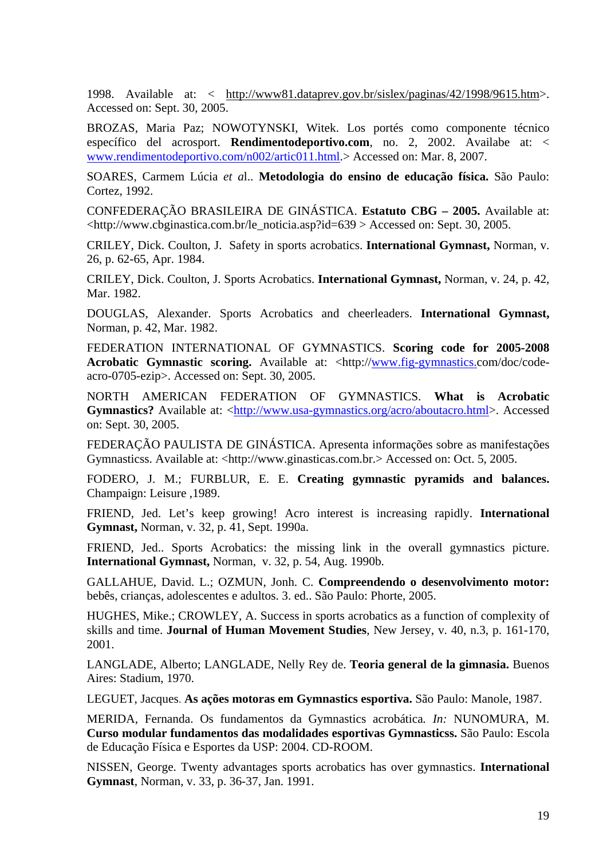1998. Available at: < http://www81.dataprev.gov.br/sislex/paginas/42/1998/9615.htm>. Accessed on: Sept. 30, 2005.

BROZAS, Maria Paz; NOWOTYNSKI, Witek. Los portés como componente técnico específico del acrosport. **Rendimentodeportivo.com**, no. 2, 2002. Availabe at: < www.rendimentodeportivo.com/n002/artic011.html.> Accessed on: Mar. 8, 2007.

SOARES, Carmem Lúcia *et a*l.. **Metodologia do ensino de educação física.** São Paulo: Cortez, 1992.

CONFEDERAÇÃO BRASILEIRA DE GINÁSTICA. **Estatuto CBG – 2005.** Available at: <http://www.cbginastica.com.br/le\_noticia.asp?id=639 > Accessed on: Sept. 30, 2005.

CRILEY, Dick. Coulton, J. Safety in sports acrobatics. **International Gymnast,** Norman, v. 26, p. 62-65, Apr. 1984.

CRILEY, Dick. Coulton, J. Sports Acrobatics. **International Gymnast,** Norman, v. 24, p. 42, Mar. 1982.

DOUGLAS, Alexander. Sports Acrobatics and cheerleaders. **International Gymnast,**  Norman, p. 42, Mar. 1982.

FEDERATION INTERNATIONAL OF GYMNASTICS. **Scoring code for 2005-2008 Acrobatic Gymnastic scoring.** Available at: <http://www.fig-gymnastics.com/doc/codeacro-0705-ezip>. Accessed on: Sept. 30, 2005.

NORTH AMERICAN FEDERATION OF GYMNASTICS. **What is Acrobatic Gymnastics?** Available at: <http://www.usa-gymnastics.org/acro/aboutacro.html>. Accessed on: Sept. 30, 2005.

FEDERAÇÃO PAULISTA DE GINÁSTICA. Apresenta informações sobre as manifestações Gymnasticss. Available at: <http://www.ginasticas.com.br.> Accessed on: Oct. 5, 2005.

FODERO, J. M.; FURBLUR, E. E. **Creating gymnastic pyramids and balances.** Champaign: Leisure ,1989.

FRIEND, Jed. Let's keep growing! Acro interest is increasing rapidly. **International Gymnast,** Norman, v. 32, p. 41, Sept. 1990a.

FRIEND, Jed.. Sports Acrobatics: the missing link in the overall gymnastics picture. **International Gymnast,** Norman, v. 32, p. 54, Aug. 1990b.

GALLAHUE, David. L.; OZMUN, Jonh. C. **Compreendendo o desenvolvimento motor:** bebês, crianças, adolescentes e adultos. 3. ed.. São Paulo: Phorte, 2005.

HUGHES, Mike.; CROWLEY, A. Success in sports acrobatics as a function of complexity of skills and time. **Journal of Human Movement Studies**, New Jersey, v. 40, n.3, p. 161-170, 2001.

LANGLADE, Alberto; LANGLADE, Nelly Rey de. **Teoria general de la gimnasia.** Buenos Aires: Stadium, 1970.

LEGUET, Jacques. **As ações motoras em Gymnastics esportiva.** São Paulo: Manole, 1987.

MERIDA, Fernanda. Os fundamentos da Gymnastics acrobática*. In:* NUNOMURA, M. **Curso modular fundamentos das modalidades esportivas Gymnasticss.** São Paulo: Escola de Educação Física e Esportes da USP: 2004. CD-ROOM.

NISSEN, George. Twenty advantages sports acrobatics has over gymnastics. **International Gymnast**, Norman, v. 33, p. 36-37, Jan. 1991.